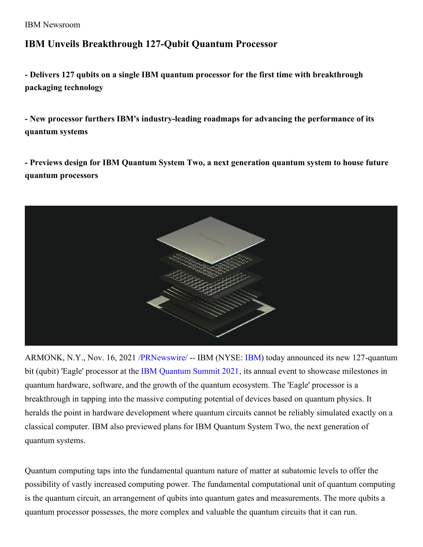IBM Newsroom

## **IBM Unveils Breakthrough 127-Qubit Quantum Processor**

**- Delivers 127 qubits on a single IBM quantum processor for the first time with breakthrough packaging technology**

**- New processor furthers IBM's industry-leading roadmaps for advancing the performance of its quantum systems**

**- Previews design for IBM Quantum System Two, a next generation quantum system to house future quantum processors**



ARMONK, N.Y., Nov. 16, 2021 [/PRNewswire](http://www.prnewswire.com/)/ -- [IBM](https://c212.net/c/link/?t=0&l=en&o=3359960-1&h=457286422&u=http%3A%2F%2Fwww.ibm.com%2Finvestor&a=IBM) (NYSE: IBM) today announced its new 127-quantum bit (qubit) 'Eagle' processor at the IBM [Quantum](https://c212.net/c/link/?t=0&l=en&o=3359960-1&h=2069789580&u=https%3A%2F%2Fsummit.quantum-computing.ibm.com%2Fhome&a=IBM+Quantum+Summit+2021) Summit 2021, its annual event to showcase milestones in quantum hardware, software, and the growth of the quantum ecosystem. The 'Eagle' processor is a breakthrough in tapping into the massive computing potential of devices based on quantum physics. It heralds the point in hardware development where quantum circuits cannot be reliably simulated exactly on a classical computer. IBM also previewed plans for IBM Quantum System Two, the next generation of quantum systems.

Quantum computing taps into the fundamental quantum nature of matter at subatomic levels to offer the possibility of vastly increased computing power. The fundamental computational unit of quantum computing is the quantum circuit, an arrangement of qubits into quantum gates and measurements. The more qubits a quantum processor possesses, the more complex and valuable the quantum circuits that it can run.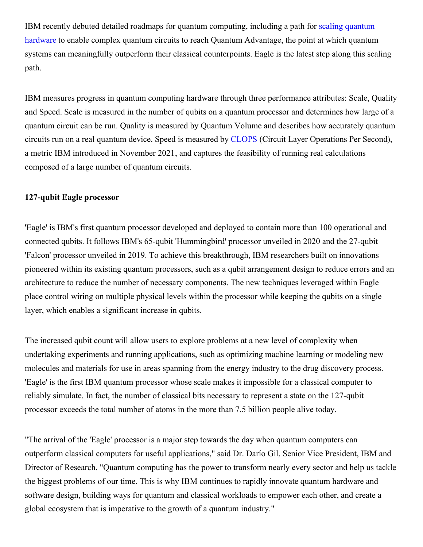IBM recently debuted detailed roadmaps for quantum computing, including a path for scaling quantum hardware to enable complex quantum circuits to reach Quantum [Advantage,](https://c212.net/c/link/?t=0&l=en&o=3359960-1&h=2291403055&u=https%3A%2F%2Fresearch.ibm.com%2Fblog%2Fibm-quantum-roadmap&a=scaling+quantum+hardware) the point at which quantum systems can meaningfully outperform their classical counterpoints. Eagle is the latest step along this scaling path.

IBM measures progress in quantum computing hardware through three performance attributes: Scale, Quality and Speed. Scale is measured in the number of qubits on a quantum processor and determines how large of a quantum circuit can be run. Quality is measured by Quantum Volume and describes how accurately quantum circuits run on a real quantum device. Speed is measured by [CLOPS](https://c212.net/c/link/?t=0&l=en&o=3359960-1&h=486086661&u=https%3A%2F%2Fresearch.ibm.com%2Fblog%2Fcircuit-layer-operations-per-second&a=CLOPS) (Circuit Layer Operations Per Second), a metric IBM introduced in November 2021, and captures the feasibility of running real calculations composed of a large number of quantum circuits.

## **127-qubit Eagle processor**

'Eagle' is IBM's first quantum processor developed and deployed to contain more than 100 operational and connected qubits. It follows IBM's 65-qubit 'Hummingbird' processor unveiled in 2020 and the 27-qubit 'Falcon' processor unveiled in 2019. To achieve this breakthrough, IBM researchers built on innovations pioneered within its existing quantum processors, such as a qubit arrangement design to reduce errors and an architecture to reduce the number of necessary components. The new techniques leveraged within Eagle place control wiring on multiple physical levels within the processor while keeping the qubits on a single layer, which enables a significant increase in qubits.

The increased qubit count will allow users to explore problems at a new level of complexity when undertaking experiments and running applications, such as optimizing machine learning or modeling new molecules and materials for use in areas spanning from the energy industry to the drug discovery process. 'Eagle' is the first IBM quantum processor whose scale makes it impossible for a classical computer to reliably simulate. In fact, the number of classical bits necessary to represent a state on the 127-qubit processor exceeds the total number of atoms in the more than 7.5 billion people alive today.

"The arrival of the 'Eagle' processor is a major step towards the day when quantum computers can outperform classical computers for useful applications," said Dr. Darío Gil, Senior Vice President, IBM and Director of Research. "Quantum computing has the power to transform nearly every sector and help us tackle the biggest problems of our time. This is why IBM continues to rapidly innovate quantum hardware and software design, building ways for quantum and classical workloads to empower each other, and create a global ecosystem that is imperative to the growth of a quantum industry."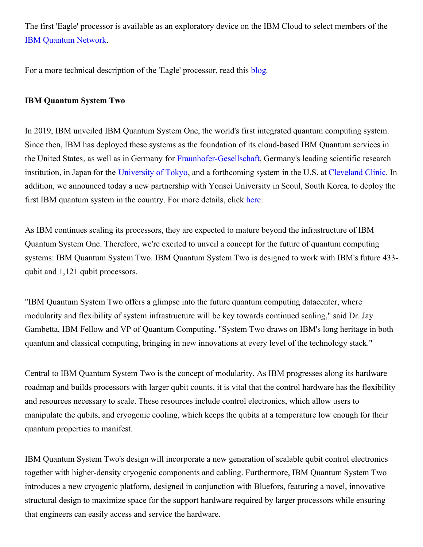The first 'Eagle' processor is available as an exploratory device on the IBM Cloud to select members of the IBM [Quantum](https://c212.net/c/link/?t=0&l=en&o=3359960-1&h=2615099363&u=https%3A%2F%2Fwww.ibm.com%2Fquantum-computing%2Fibm-q-network%2F&a=IBM+Quantum+Network) Network.

For a more technical description of the 'Eagle' processor, read this [blog](https://c212.net/c/link/?t=0&l=en&o=3359960-1&h=958722796&u=https%3A%2F%2Fresearch.ibm.com%2Fblog%2F127-qubit-quantum-processor-eagle&a=blog).

## **IBM Quantum System Two**

In 2019, IBM unveiled IBM Quantum System One, the world's first integrated quantum computing system. Since then, IBM has deployed these systems as the foundation of its cloud-based IBM Quantum services in the United States, as well as in Germany for [Fraunhofer-Gesellschaft](https://c212.net/c/link/?t=0&l=en&o=3359960-1&h=315081560&u=https%3A%2F%2Fresearch.ibm.com%2Fblog%2Ffraunhofer-quantum-system-one&a=Fraunhofer-Gesellschaft), Germany's leading scientific research institution, in Japan for the [University](https://c212.net/c/link/?t=0&l=en&o=3359960-1&h=3923928526&u=https%3A%2F%2Fnewsroom.ibm.com%2F2021-07-26-IBM-and-the-University-of-Tokyo-Unveil-Japans-Most-Powerful-Quantum-Computer&a=University+of+Tokyo) of Tokyo, and a forthcoming system in the U.S. at [Cleveland](https://c212.net/c/link/?t=0&l=en&o=3359960-1&h=883207189&u=https%3A%2F%2Fnewsroom.ibm.com%2F2021-03-30-Cleveland-Clinic-and-IBM-Unveil-Landmark-10-Year-Partnership-to-Accelerate-Discovery-in-Healthcare-and-Life-Sciences&a=Cleveland+Clinic) Clinic. In addition, we announced today a new partnership with Yonsei University in Seoul, South Korea, to deploy the first IBM quantum system in the country. For more details, click [here](https://c212.net/c/link/?t=0&l=en&o=3359960-1&h=1168553330&u=https%3A%2F%2Fnewsroom.ibm.com%2F2021-11-16-IBM-and-Yonsei-University-Unveil-Collaboration-to-Bring-IBM-Quantum-System-One-to-Korea&a=here).

As IBM continues scaling its processors, they are expected to mature beyond the infrastructure of IBM Quantum System One. Therefore, we're excited to unveil a concept for the future of quantum computing systems: IBM Quantum System Two. IBM Quantum System Two is designed to work with IBM's future 433 qubit and 1,121 qubit processors.

"IBM Quantum System Two offers a glimpse into the future quantum computing datacenter, where modularity and flexibility of system infrastructure will be key towards continued scaling," said Dr. Jay Gambetta, IBM Fellow and VP of Quantum Computing. "System Two draws on IBM's long heritage in both quantum and classical computing, bringing in new innovations at every level of the technology stack."

Central to IBM Quantum System Two is the concept of modularity. As IBM progresses along its hardware roadmap and builds processors with larger qubit counts, it is vital that the control hardware has the flexibility and resources necessary to scale. These resources include control electronics, which allow users to manipulate the qubits, and cryogenic cooling, which keeps the qubits at a temperature low enough for their quantum properties to manifest.

IBM Quantum System Two's design will incorporate a new generation of scalable qubit control electronics together with higher-density cryogenic components and cabling. Furthermore, IBM Quantum System Two introduces a new cryogenic platform, designed in conjunction with Bluefors, featuring a novel, innovative structural design to maximize space for the support hardware required by larger processors while ensuring that engineers can easily access and service the hardware.